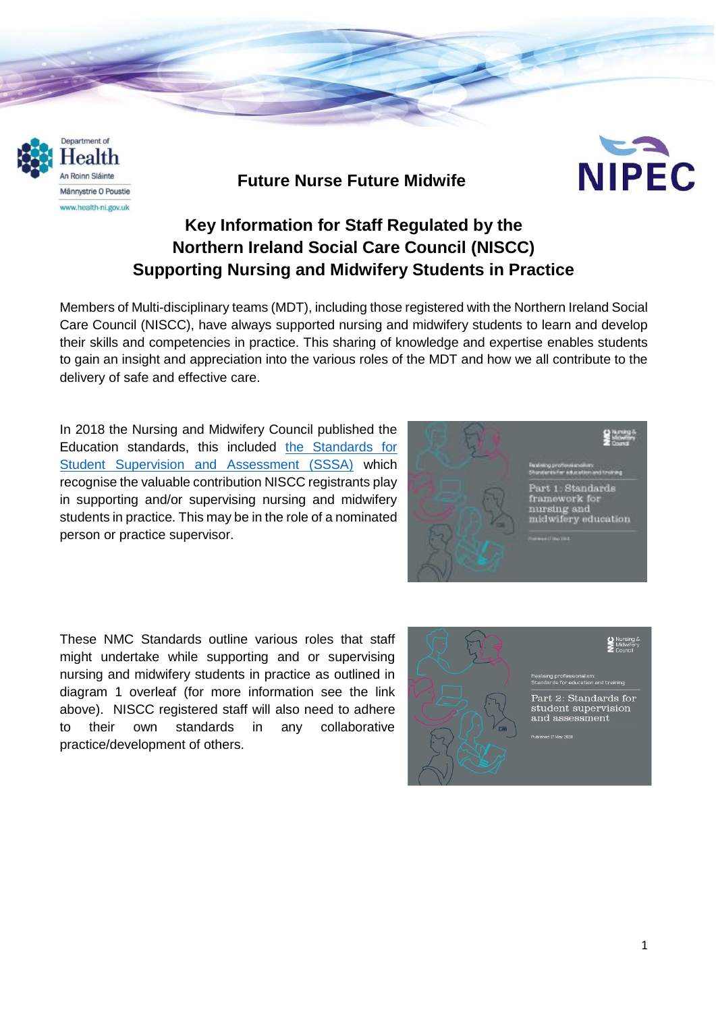

## **Future Nurse Future Midwife**



# **Key Information for Staff Regulated by the Northern Ireland Social Care Council (NISCC) Supporting Nursing and Midwifery Students in Practice**

Members of Multi-disciplinary teams (MDT), including those registered with the Northern Ireland Social Care Council (NISCC), have always supported nursing and midwifery students to learn and develop their skills and competencies in practice. This sharing of knowledge and expertise enables students to gain an insight and appreciation into the various roles of the MDT and how we all contribute to the delivery of safe and effective care.

In 2018 the Nursing and Midwifery Council published the Education standards, this included [the Standards for](https://www.nmc.org.uk/globalassets/sitedocuments/education-standards/student-supervision-assessment.pdf)  [Student Supervision and Assessment \(SSSA\)](https://www.nmc.org.uk/globalassets/sitedocuments/education-standards/student-supervision-assessment.pdf) which recognise the valuable contribution NISCC registrants play in supporting and/or supervising nursing and midwifery students in practice. This may be in the role of a nominated person or practice supervisor.



These NMC Standards outline various roles that staff might undertake while supporting and or supervising nursing and midwifery students in practice as outlined in diagram 1 overleaf (for more information see the link above). NISCC registered staff will also need to adhere to their own standards in any collaborative practice/development of others.

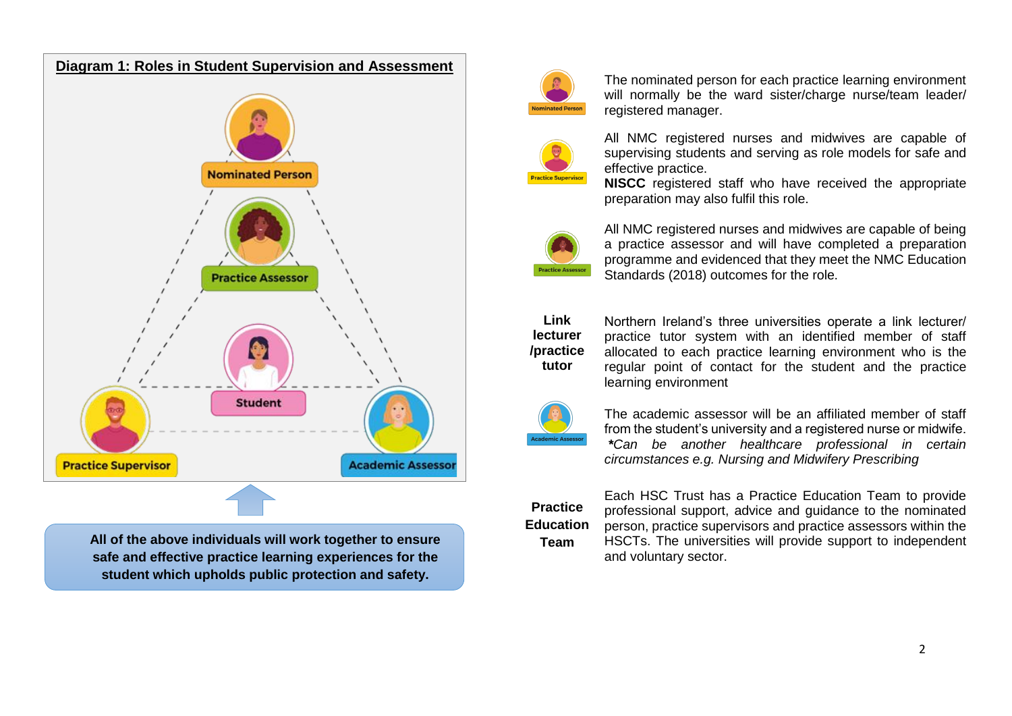

**All of the above individuals will work together to ensure safe and effective practice learning experiences for the student which upholds public protection and safety.**



The nominated person for each practice learning environment will normally be the ward sister/charge nurse/team leader/ registered manager.



All NMC registered nurses and midwives are capable of supervising students and serving as role models for safe and effective practice.

**NISCC** registered staff who have received the appropriate preparation may also fulfil this role.



All NMC registered nurses and midwives are capable of being a practice assessor and will have completed a preparation programme and evidenced that they meet the NMC Education Standards (2018) outcomes for the role.

**Link lecturer /practice tutor** 

Northern Ireland's three universities operate a link lecturer/ practice tutor system with an identified member of staff allocated to each practice learning environment who is the regular point of contact for the student and the practice learning environment



The academic assessor will be an affiliated member of staff from the student's university and a registered nurse or midwife. *\*Can be another healthcare professional in certain circumstances e.g. Nursing and Midwifery Prescribing*



Each HSC Trust has a Practice Education Team to provide professional support, advice and guidance to the nominated person, practice supervisors and practice assessors within the HSCTs. The universities will provide support to independent and voluntary sector.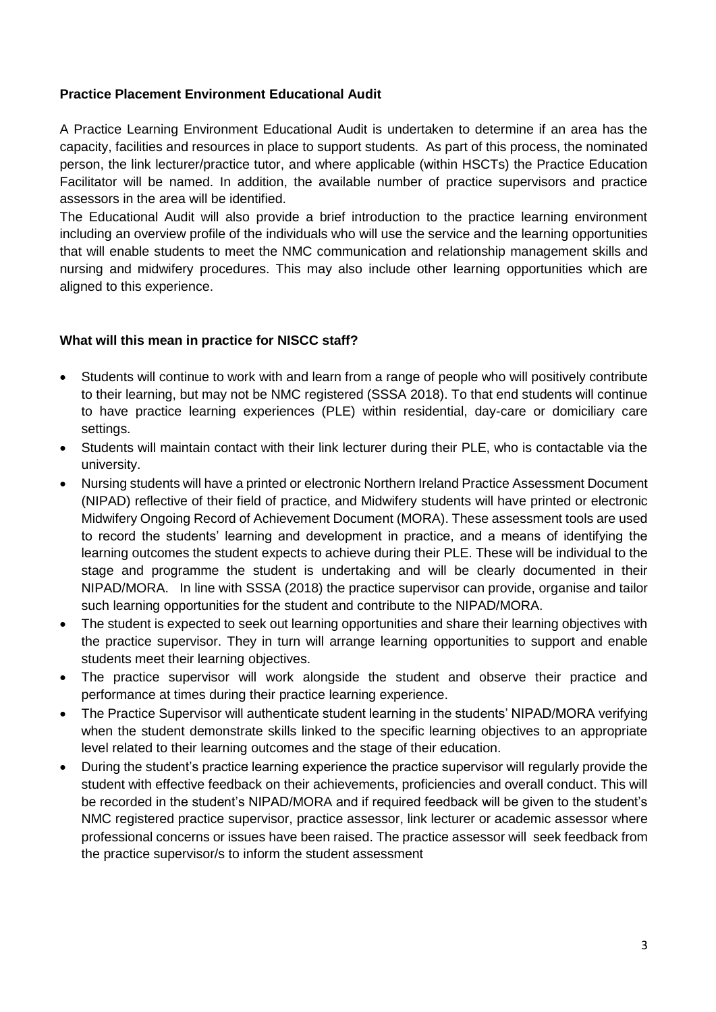## **Practice Placement Environment Educational Audit**

A Practice Learning Environment Educational Audit is undertaken to determine if an area has the capacity, facilities and resources in place to support students. As part of this process, the nominated person, the link lecturer/practice tutor, and where applicable (within HSCTs) the Practice Education Facilitator will be named. In addition, the available number of practice supervisors and practice assessors in the area will be identified.

The Educational Audit will also provide a brief introduction to the practice learning environment including an overview profile of the individuals who will use the service and the learning opportunities that will enable students to meet the NMC communication and relationship management skills and nursing and midwifery procedures. This may also include other learning opportunities which are aligned to this experience.

#### **What will this mean in practice for NISCC staff?**

- Students will continue to work with and learn from a range of people who will positively contribute to their learning, but may not be NMC registered (SSSA 2018). To that end students will continue to have practice learning experiences (PLE) within residential, day-care or domiciliary care settings.
- Students will maintain contact with their link lecturer during their PLE, who is contactable via the university.
- Nursing students will have a printed or electronic Northern Ireland Practice Assessment Document (NIPAD) reflective of their field of practice, and Midwifery students will have printed or electronic Midwifery Ongoing Record of Achievement Document (MORA). These assessment tools are used to record the students' learning and development in practice, and a means of identifying the learning outcomes the student expects to achieve during their PLE. These will be individual to the stage and programme the student is undertaking and will be clearly documented in their NIPAD/MORA. In line with SSSA (2018) the practice supervisor can provide, organise and tailor such learning opportunities for the student and contribute to the NIPAD/MORA.
- The student is expected to seek out learning opportunities and share their learning objectives with the practice supervisor. They in turn will arrange learning opportunities to support and enable students meet their learning objectives.
- The practice supervisor will work alongside the student and observe their practice and performance at times during their practice learning experience.
- The Practice Supervisor will authenticate student learning in the students' NIPAD/MORA verifying when the student demonstrate skills linked to the specific learning objectives to an appropriate level related to their learning outcomes and the stage of their education.
- During the student's practice learning experience the practice supervisor will regularly provide the student with effective feedback on their achievements, proficiencies and overall conduct. This will be recorded in the student's NIPAD/MORA and if required feedback will be given to the student's NMC registered practice supervisor, practice assessor, link lecturer or academic assessor where professional concerns or issues have been raised. The practice assessor will seek feedback from the practice supervisor/s to inform the student assessment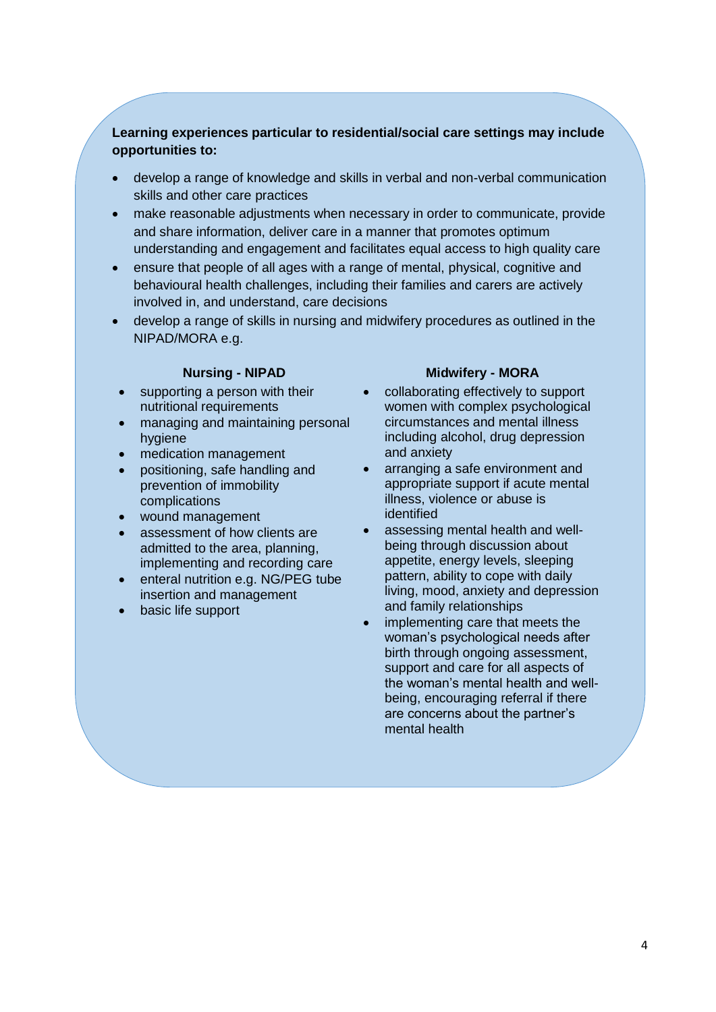### **Learning experiences particular to residential/social care settings may include opportunities to:**

- develop a range of knowledge and skills in verbal and non-verbal communication skills and other care practices
- make reasonable adjustments when necessary in order to communicate, provide and share information, deliver care in a manner that promotes optimum understanding and engagement and facilitates equal access to high quality care
- ensure that people of all ages with a range of mental, physical, cognitive and behavioural health challenges, including their families and carers are actively involved in, and understand, care decisions
- develop a range of skills in nursing and midwifery procedures as outlined in the NIPAD/MORA e.g.

- supporting a person with their nutritional requirements
- managing and maintaining personal hygiene
- medication management
- positioning, safe handling and prevention of immobility complications
- wound management
- assessment of how clients are admitted to the area, planning, implementing and recording care
- enteral nutrition e.g. NG/PEG tube insertion and management
- basic life support

#### **Nursing - NIPAD Midwifery - MORA**

- collaborating effectively to support women with complex psychological circumstances and mental illness including alcohol, drug depression and anxiety
- arranging a safe environment and appropriate support if acute mental illness, violence or abuse is identified
- assessing mental health and wellbeing through discussion about appetite, energy levels, sleeping pattern, ability to cope with daily living, mood, anxiety and depression and family relationships
- implementing care that meets the woman's psychological needs after birth through ongoing assessment, support and care for all aspects of the woman's mental health and wellbeing, encouraging referral if there are concerns about the partner's mental health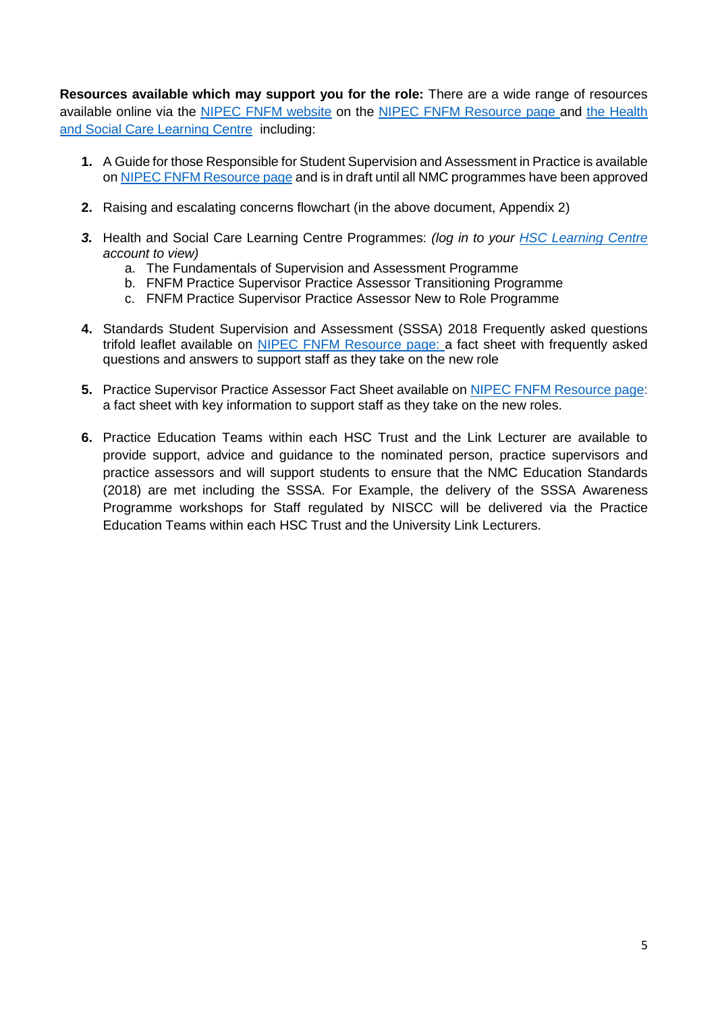**Resources available which may support you for the role:** There are a wide range of resources available online via the [NIPEC FNFM website](https://nipec.hscni.net/service/fnfm/) on the [NIPEC FNFM Resource page](https://nipec.hscni.net/service/fnfm/fnfm-resources/) and the Health [and Social Care Learning Centre](https://www.hsclearning.com/) including:

- **1.** [A Guide for those Responsible for Student Supervision and Assessment in Practice](https://nipec.hscni.net/download/projects/current_work/highstandards_education/future_nurse_future_midwife/fnfm_resources/A-Guide-for-those-Responsible-for-Student-Supervision-and-Assessment-in-Practice..pdf) is available on [NIPEC FNFM Resource page](https://nipec.hscni.net/service/fnfm/fnfm-resources/) and is in draft until all NMC programmes have been approved
- **2.** Raising and escalating concerns flowchart (in the above document, Appendix 2)
- *3.* Health and Social Care Learning Centre Programmes: *(log in to your [HSC Learning Centre](https://www.hsclearning.com/) account to view)*
	- a. The Fundamentals of Supervision and Assessment Programme
	- b. FNFM Practice Supervisor Practice Assessor Transitioning Programme
	- c. FNFM Practice Supervisor Practice Assessor New to Role Programme
- **4.** Standards Student Supervision and Assessment (SSSA) 2018 Frequently asked questions trifold leaflet available on [NIPEC FNFM Resource page:](https://nipec.hscni.net/service/fnfm/fnfm-resources/) a fact sheet with frequently asked questions and answers to support staff as they take on the new role
- **5.** Practice Supervisor Practice Assessor Fact Sheet available on [NIPEC FNFM Resource page:](https://nipec.hscni.net/service/fnfm/fnfm-resources/) a fact sheet with key information to support staff as they take on the new roles.
- **6.** Practice Education Teams within each HSC Trust and the Link Lecturer are available to provide support, advice and guidance to the nominated person, practice supervisors and practice assessors and will support students to ensure that the NMC Education Standards (2018) are met including the SSSA. For Example, the delivery of the SSSA Awareness Programme workshops for Staff regulated by NISCC will be delivered via the Practice Education Teams within each HSC Trust and the University Link Lecturers.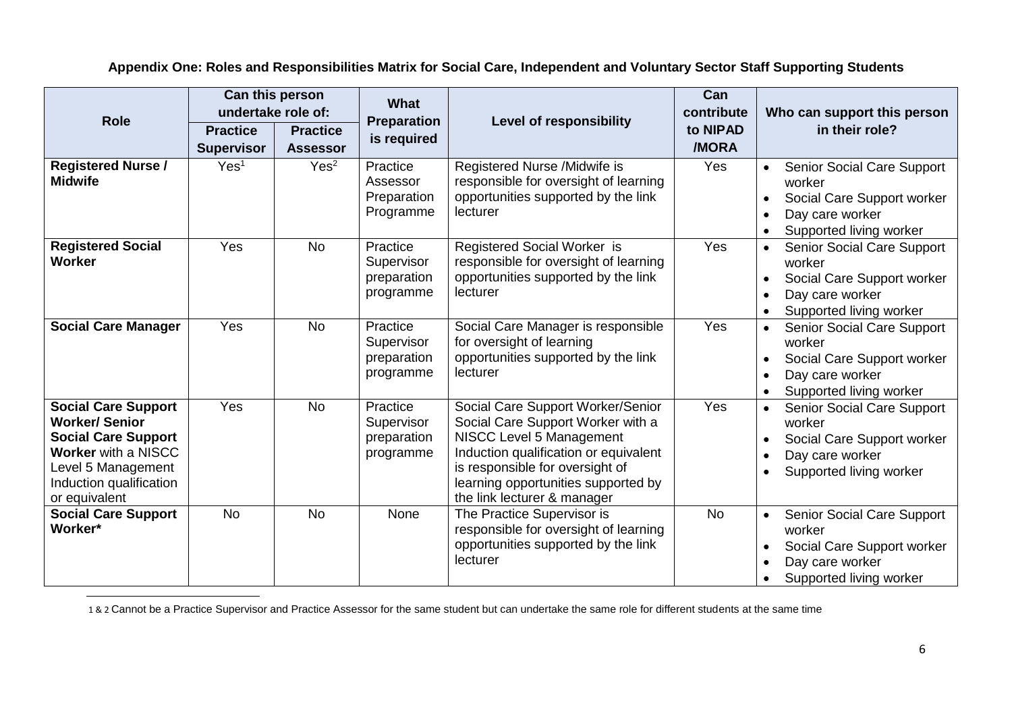**Appendix One: Roles and Responsibilities Matrix for Social Care, Independent and Voluntary Sector Staff Supporting Students**

| <b>Role</b>                                                                                                                                                                      | Can this person<br>undertake role of: |                                    | <b>What</b>                                        |                                                                                                                                                                                                                                                      | Can<br>contribute | Who can support this person                                                                                                          |
|----------------------------------------------------------------------------------------------------------------------------------------------------------------------------------|---------------------------------------|------------------------------------|----------------------------------------------------|------------------------------------------------------------------------------------------------------------------------------------------------------------------------------------------------------------------------------------------------------|-------------------|--------------------------------------------------------------------------------------------------------------------------------------|
|                                                                                                                                                                                  | <b>Practice</b><br><b>Supervisor</b>  | <b>Practice</b><br><b>Assessor</b> | <b>Preparation</b><br>is required                  | <b>Level of responsibility</b>                                                                                                                                                                                                                       | to NIPAD<br>/MORA | in their role?                                                                                                                       |
| <b>Registered Nurse /</b><br><b>Midwife</b>                                                                                                                                      | Yes <sup>1</sup>                      | Yes <sup>2</sup>                   | Practice<br>Assessor<br>Preparation<br>Programme   | Registered Nurse /Midwife is<br>responsible for oversight of learning<br>opportunities supported by the link<br>lecturer                                                                                                                             | Yes               | <b>Senior Social Care Support</b><br>$\bullet$<br>worker<br>Social Care Support worker<br>Day care worker<br>Supported living worker |
| <b>Registered Social</b><br>Worker                                                                                                                                               | Yes                                   | <b>No</b>                          | Practice<br>Supervisor<br>preparation<br>programme | Registered Social Worker is<br>responsible for oversight of learning<br>opportunities supported by the link<br>lecturer                                                                                                                              | Yes               | Senior Social Care Support<br>worker<br>Social Care Support worker<br>Day care worker<br>Supported living worker                     |
| <b>Social Care Manager</b>                                                                                                                                                       | Yes                                   | <b>No</b>                          | Practice<br>Supervisor<br>preparation<br>programme | Social Care Manager is responsible<br>for oversight of learning<br>opportunities supported by the link<br>lecturer                                                                                                                                   | Yes               | Senior Social Care Support<br>worker<br>Social Care Support worker<br>Day care worker<br>Supported living worker                     |
| <b>Social Care Support</b><br><b>Worker/Senior</b><br><b>Social Care Support</b><br><b>Worker with a NISCC</b><br>Level 5 Management<br>Induction qualification<br>or equivalent | Yes                                   | <b>No</b>                          | Practice<br>Supervisor<br>preparation<br>programme | Social Care Support Worker/Senior<br>Social Care Support Worker with a<br>NISCC Level 5 Management<br>Induction qualification or equivalent<br>is responsible for oversight of<br>learning opportunities supported by<br>the link lecturer & manager | Yes               | Senior Social Care Support<br>$\bullet$<br>worker<br>Social Care Support worker<br>Day care worker<br>Supported living worker        |
| <b>Social Care Support</b><br>Worker*                                                                                                                                            | <b>No</b>                             | <b>No</b>                          | None                                               | The Practice Supervisor is<br>responsible for oversight of learning<br>opportunities supported by the link<br>lecturer                                                                                                                               | <b>No</b>         | Senior Social Care Support<br>$\bullet$<br>worker<br>Social Care Support worker<br>Day care worker<br>Supported living worker        |

 $\overline{a}$ 1 & 2 Cannot be a Practice Supervisor and Practice Assessor for the same student but can undertake the same role for different students at the same time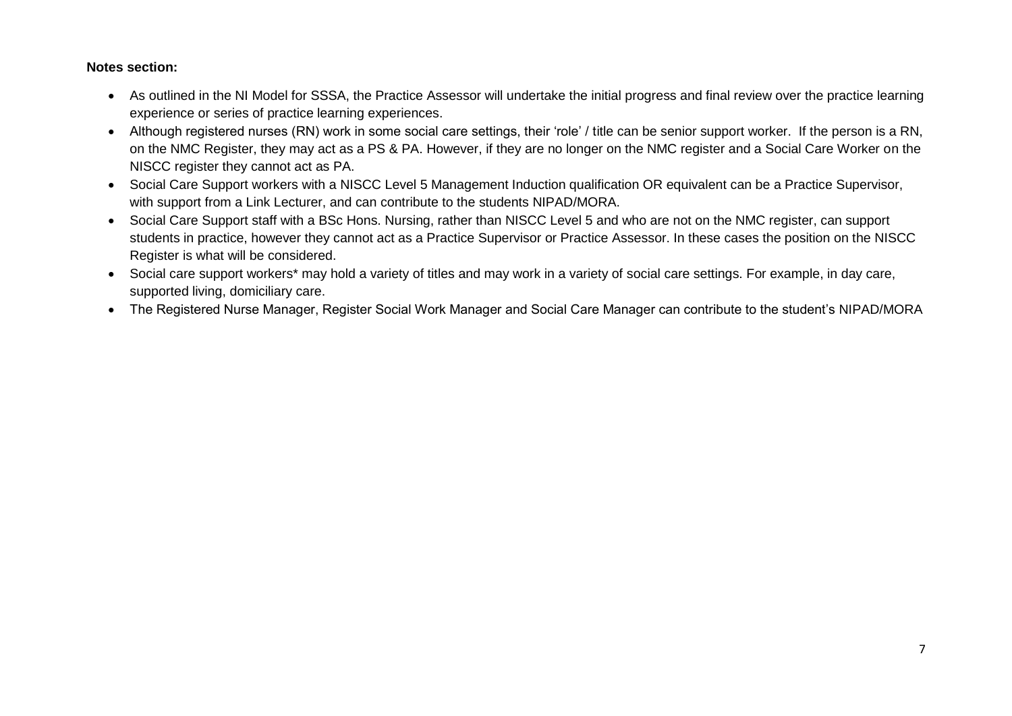#### **Notes section:**

- As outlined in the NI Model for SSSA, the Practice Assessor will undertake the initial progress and final review over the practice learning experience or series of practice learning experiences.
- Although registered nurses (RN) work in some social care settings, their 'role' / title can be senior support worker. If the person is a RN, on the NMC Register, they may act as a PS & PA. However, if they are no longer on the NMC register and a Social Care Worker on the NISCC register they cannot act as PA.
- Social Care Support workers with a NISCC Level 5 Management Induction qualification OR equivalent can be a Practice Supervisor, with support from a Link Lecturer, and can contribute to the students NIPAD/MORA.
- Social Care Support staff with a BSc Hons. Nursing, rather than NISCC Level 5 and who are not on the NMC register, can support students in practice, however they cannot act as a Practice Supervisor or Practice Assessor. In these cases the position on the NISCC Register is what will be considered.
- Social care support workers\* may hold a variety of titles and may work in a variety of social care settings. For example, in day care, supported living, domiciliary care.
- The Registered Nurse Manager, Register Social Work Manager and Social Care Manager can contribute to the student's NIPAD/MORA